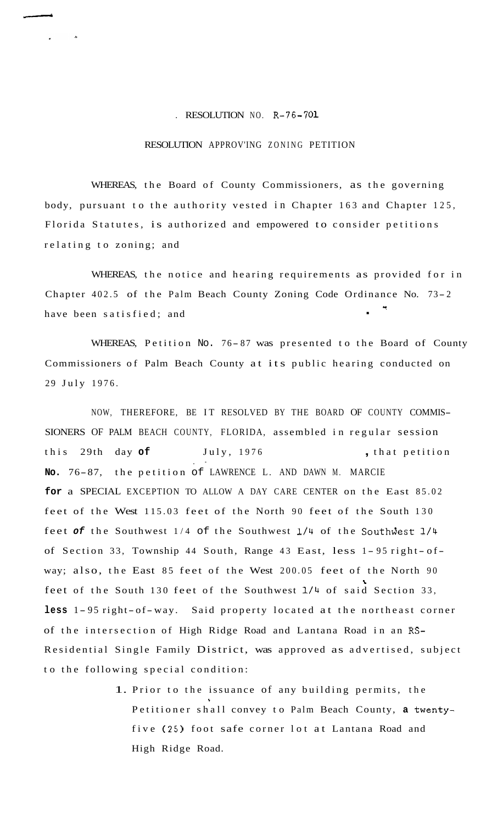## . RESOLUTION NO. R-76-701

## RESOLUTION APPROV'ING ZONING PETITION

WHEREAS, the Board of County Commissioners, as the governing body, pursuant to the authority vested in Chapter 163 and Chapter 125, Florida Statutes, is authorized and empowered to consider petitions relating to zoning; and

WHEREAS, the notice and hearing requirements as provided for in Chapter 402.5 of the Palm Beach County Zoning Code Ordinance No. 73-2 have been satisfied; and

WHEREAS, Petition No. 76-87 was presented to the Board of County Commissioners of Palm Beach County at its public hearing conducted on 29 July 1976.

NOW, THEREFORE, BE IT RESOLVED BY THE BOARD OF COUNTY COMMIS-SIONERS OF PALM BEACH COUNTY, FLORIDA, assembled in regular session this 29th day **of** July, 1976 , that petition **No.** 76-87, the petition of LAWRENCE L. AND DAWN M. MARCIE **for** a SPECIAL EXCEPTION TO ALLOW A DAY CARE CENTER on the East 85.02 . feet of the West 115.03 feet of the North 90 feet of the South 130 feet of the Southwest 1/4 of the Southwest 1/4 of the Southwest 1/4 of Section 33, Township 44 South, Range 43 East, less 1-95 right-ofway; also, the East 85 feet of the West 200.05 feet of the North 90 feet of the South 130 feet of the Southwest 1/4 of said Section 33,  $\mathbf{r}$ **less** <sup>1</sup> - 95 right- of- way. Said property located at the northeast corner of the intersection of High Ridge Road and Lantana Road in an RS-Residential Single Family District, was approved as advertised, subject to the following special condition:

> 1. Prior to the issuance of any building permits, the \* Petitioner shall convey to Palm Beach County, **a** twentyfive (25) foot safe corner lot at Lantana Road and High Ridge Road.